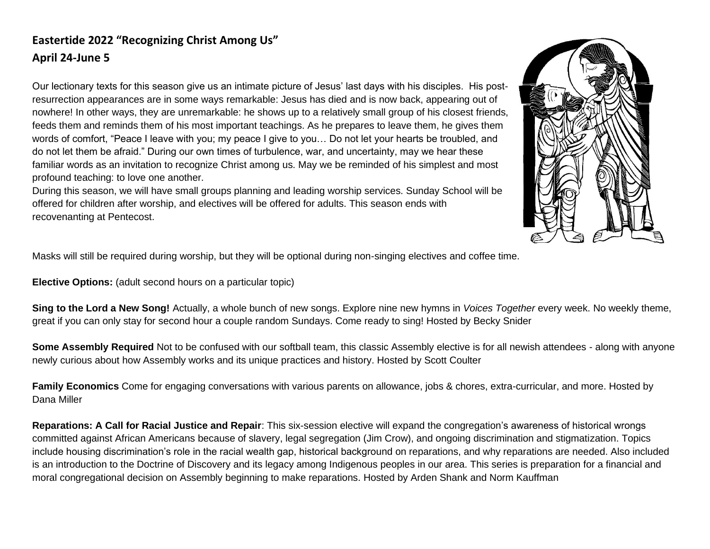## **Eastertide 2022 "Recognizing Christ Among Us" April 24-June 5**

Our lectionary texts for this season give us an intimate picture of Jesus' last days with his disciples. His postresurrection appearances are in some ways remarkable: Jesus has died and is now back, appearing out of nowhere! In other ways, they are unremarkable: he shows up to a relatively small group of his closest friends, feeds them and reminds them of his most important teachings. As he prepares to leave them, he gives them words of comfort, "Peace I leave with you; my peace I give to you… Do not let your hearts be troubled, and do not let them be afraid." During our own times of turbulence, war, and uncertainty, may we hear these familiar words as an invitation to recognize Christ among us. May we be reminded of his simplest and most profound teaching: to love one another.

During this season, we will have small groups planning and leading worship services. Sunday School will be offered for children after worship, and electives will be offered for adults. This season ends with recovenanting at Pentecost.

Masks will still be required during worship, but they will be optional during non-singing electives and coffee time.

**Elective Options:** (adult second hours on a particular topic)

**Sing to the Lord a New Song!** Actually, a whole bunch of new songs. Explore nine new hymns in *Voices Together* every week. No weekly theme, great if you can only stay for second hour a couple random Sundays. Come ready to sing! Hosted by Becky Snider

**Some Assembly Required** Not to be confused with our softball team, this classic Assembly elective is for all newish attendees - along with anyone newly curious about how Assembly works and its unique practices and history. Hosted by Scott Coulter

**Family Economics** Come for engaging conversations with various parents on allowance, jobs & chores, extra-curricular, and more. Hosted by Dana Miller

**Reparations: A Call for Racial Justice and Repair**: This six-session elective will expand the congregation's awareness of historical wrongs committed against African Americans because of slavery, legal segregation (Jim Crow), and ongoing discrimination and stigmatization. Topics include housing discrimination's role in the racial wealth gap, historical background on reparations, and why reparations are needed. Also included is an introduction to the Doctrine of Discovery and its legacy among Indigenous peoples in our area. This series is preparation for a financial and moral congregational decision on Assembly beginning to make reparations. Hosted by Arden Shank and Norm Kauffman